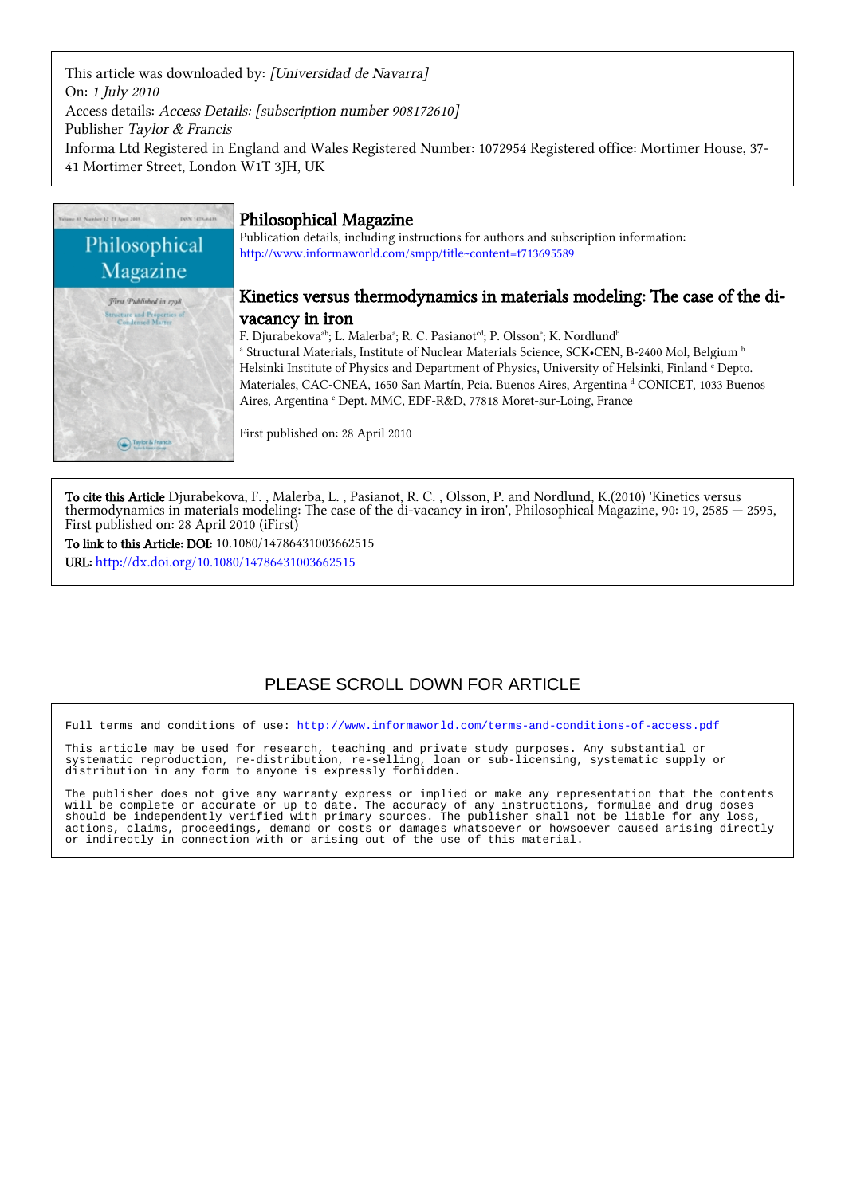This article was downloaded by: [Universidad de Navarra] On: 1 July 2010 Access details: Access Details: [subscription number 908172610] Publisher Taylor & Francis Informa Ltd Registered in England and Wales Registered Number: 1072954 Registered office: Mortimer House, 37- 41 Mortimer Street, London W1T 3JH, UK



# Philosophical Magazine

Publication details, including instructions for authors and subscription information: <http://www.informaworld.com/smpp/title~content=t713695589>

# Kinetics versus thermodynamics in materials modeling: The case of the divacancy in iron

F. Djurabekova $^{\text{ab}}$ ; L. Malerba $^{\text{a}}$ ; R. C. Pasianot $^{\text{cd}}$ ; P. Olsson $^{\text{e}}$ ; K. Nordlund $^{\text{b}}$ <sup>a</sup> Structural Materials, Institute of Nuclear Materials Science, SCK•CEN, B-2400 Mol, Belgium <sup>b</sup> Helsinki Institute of Physics and Department of Physics, University of Helsinki, Finland <sup>c</sup> Depto. Materiales, CAC-CNEA, 1650 San Martín, Pcia. Buenos Aires, Argentina d CONICET, 1033 Buenos Aires, Argentina <sup>e</sup> Dept. MMC, EDF-R&D, 77818 Moret-sur-Loing, France

First published on: 28 April 2010

To cite this Article Djurabekova, F. , Malerba, L. , Pasianot, R. C. , Olsson, P. and Nordlund, K.(2010) 'Kinetics versus thermodynamics in materials modeling: The case of the di-vacancy in iron', Philosophical Magazine, 90: 19, 2585 — 2595, First published on: 28 April 2010 (iFirst)

To link to this Article: DOI: 10.1080/14786431003662515 URL: <http://dx.doi.org/10.1080/14786431003662515>

# PLEASE SCROLL DOWN FOR ARTICLE

Full terms and conditions of use:<http://www.informaworld.com/terms-and-conditions-of-access.pdf>

This article may be used for research, teaching and private study purposes. Any substantial or systematic reproduction, re-distribution, re-selling, loan or sub-licensing, systematic supply or systematic reproduction, re-distribution, re-selling, loan<br>distribution in any form to anyone is expressly forbidden.

The publisher does not give any warranty express or implied or make any representation that the contents will be complete or accurate or up to date. The accuracy of any instructions, formulae and drug doses should be independently verified with primary sources. The publisher shall not be liable for any loss, actions, claims, proceedings, demand or costs or damages whatsoever or howsoever caused arising directly or indirectly in connection with or arising out of the use of this material.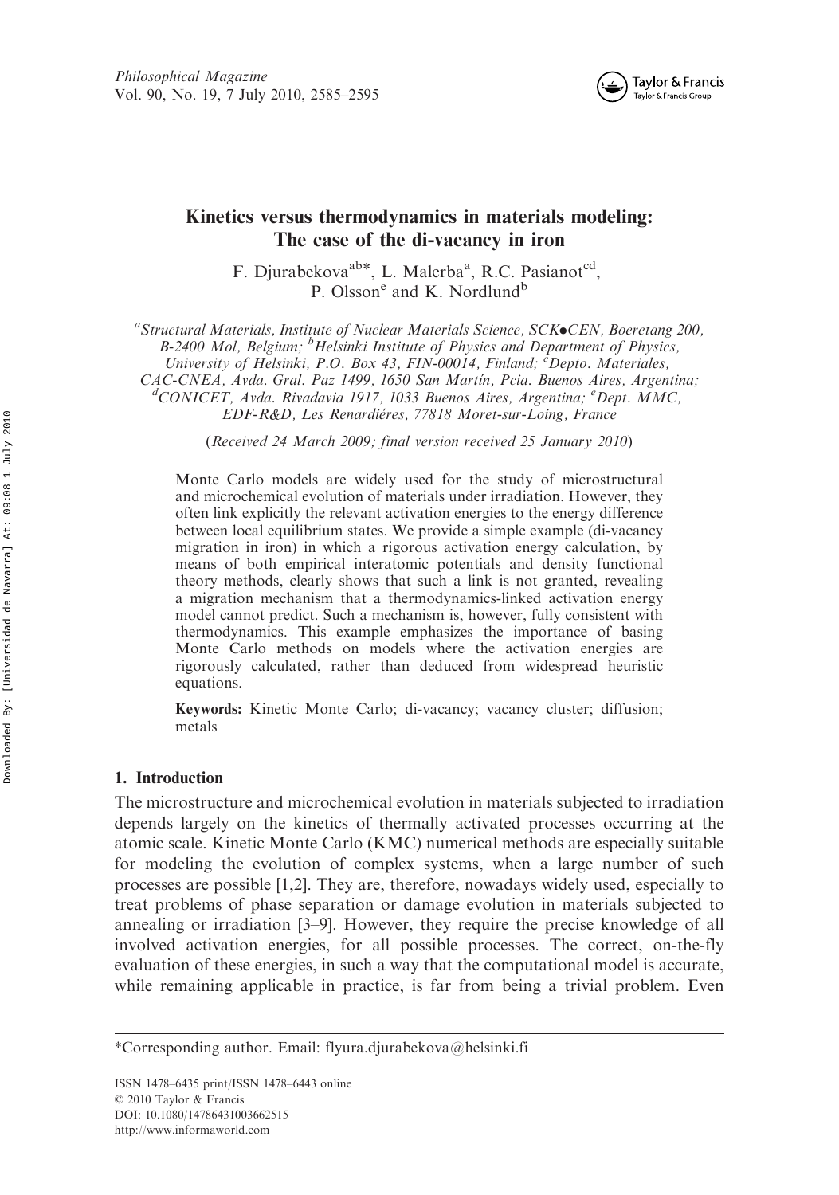

## Kinetics versus thermodynamics in materials modeling: The case of the di-vacancy in iron

F. Djurabekova<sup>ab\*</sup>, L. Malerba<sup>a</sup>, R.C. Pasianot<sup>cd</sup>, P. Olsson<sup>e</sup> and K. Nordlund<sup>b</sup>

a<br>
<sup>a</sup>Structural Materials, Institute of Nuclear Materials Science, SCK•CEN, Boeretang 200, B-2400 Mol, Belgium; <sup>b</sup>Helsinki Institute of Physics and Department of Physics,

University of Helsinki, P.O. Box 43, FIN-00014, Finland; <sup>c</sup>Depto. Materiales,

CAC-CNEA, Avda. Gral. Paz 1499, 1650 San Martín, Pcia. Buenos Aires, Argentina;

CONICET, Avda. Rivadavia 1917, 1033 Buenos Aires, Argentina; <sup>e</sup> Dept. MMC,

EDF-R&D, Les Renardiéres, 77818 Moret-sur-Loing, France

(Received 24 March 2009; final version received 25 January 2010)

Monte Carlo models are widely used for the study of microstructural and microchemical evolution of materials under irradiation. However, they often link explicitly the relevant activation energies to the energy difference between local equilibrium states. We provide a simple example (di-vacancy migration in iron) in which a rigorous activation energy calculation, by means of both empirical interatomic potentials and density functional theory methods, clearly shows that such a link is not granted, revealing a migration mechanism that a thermodynamics-linked activation energy model cannot predict. Such a mechanism is, however, fully consistent with thermodynamics. This example emphasizes the importance of basing Monte Carlo methods on models where the activation energies are rigorously calculated, rather than deduced from widespread heuristic equations.

Keywords: Kinetic Monte Carlo; di-vacancy; vacancy cluster; diffusion; metals

## 1. Introduction

The microstructure and microchemical evolution in materials subjected to irradiation depends largely on the kinetics of thermally activated processes occurring at the atomic scale. Kinetic Monte Carlo (KMC) numerical methods are especially suitable for modeling the evolution of complex systems, when a large number of such processes are possible [1,2]. They are, therefore, nowadays widely used, especially to treat problems of phase separation or damage evolution in materials subjected to annealing or irradiation [3–9]. However, they require the precise knowledge of all involved activation energies, for all possible processes. The correct, on-the-fly evaluation of these energies, in such a way that the computational model is accurate, while remaining applicable in practice, is far from being a trivial problem. Even

<sup>\*</sup>Corresponding author. Email: flyura.djurabekova@helsinki.fi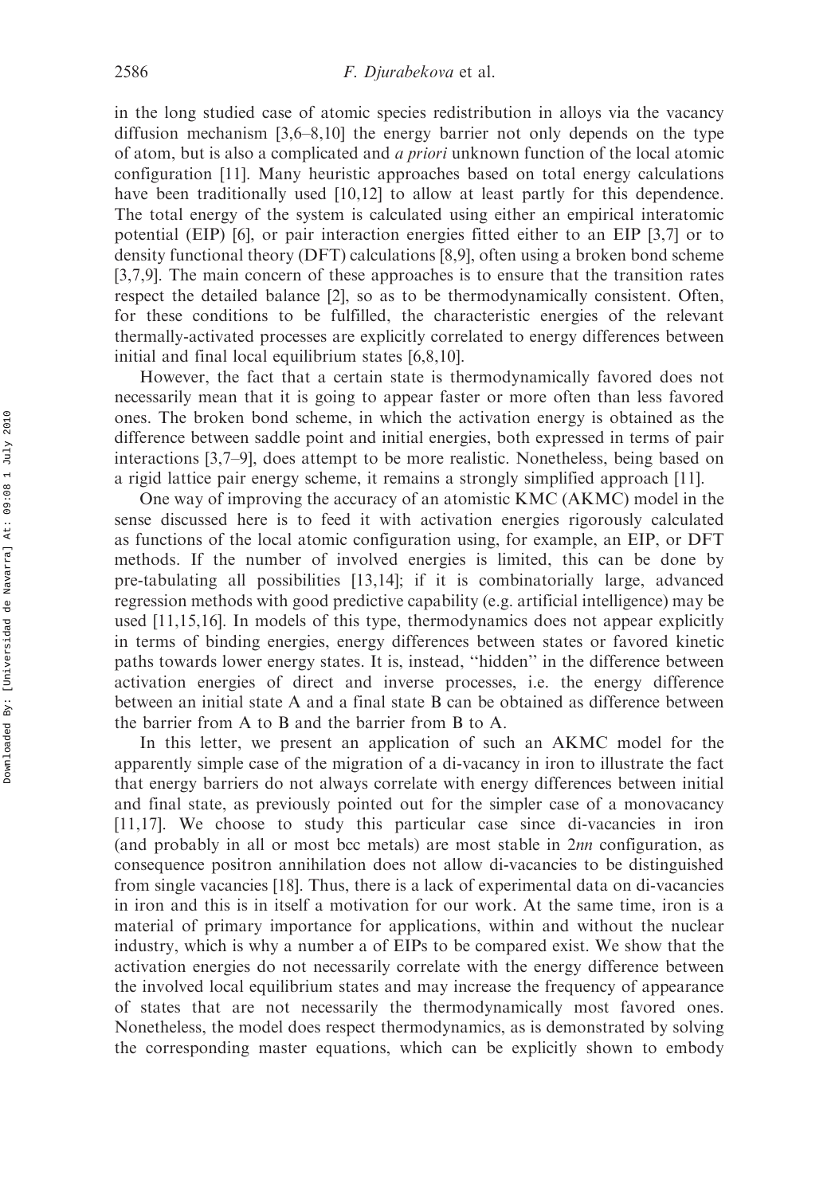in the long studied case of atomic species redistribution in alloys via the vacancy diffusion mechanism [3,6–8,10] the energy barrier not only depends on the type of atom, but is also a complicated and a priori unknown function of the local atomic configuration [11]. Many heuristic approaches based on total energy calculations have been traditionally used [10,12] to allow at least partly for this dependence. The total energy of the system is calculated using either an empirical interatomic potential (EIP) [6], or pair interaction energies fitted either to an EIP [3,7] or to density functional theory (DFT) calculations [8,9], often using a broken bond scheme [3,7,9]. The main concern of these approaches is to ensure that the transition rates respect the detailed balance [2], so as to be thermodynamically consistent. Often, for these conditions to be fulfilled, the characteristic energies of the relevant thermally-activated processes are explicitly correlated to energy differences between initial and final local equilibrium states [6,8,10].

However, the fact that a certain state is thermodynamically favored does not necessarily mean that it is going to appear faster or more often than less favored ones. The broken bond scheme, in which the activation energy is obtained as the difference between saddle point and initial energies, both expressed in terms of pair interactions [3,7–9], does attempt to be more realistic. Nonetheless, being based on a rigid lattice pair energy scheme, it remains a strongly simplified approach [11].

One way of improving the accuracy of an atomistic KMC (AKMC) model in the sense discussed here is to feed it with activation energies rigorously calculated as functions of the local atomic configuration using, for example, an EIP, or DFT methods. If the number of involved energies is limited, this can be done by pre-tabulating all possibilities [13,14]; if it is combinatorially large, advanced regression methods with good predictive capability (e.g. artificial intelligence) may be used [11,15,16]. In models of this type, thermodynamics does not appear explicitly in terms of binding energies, energy differences between states or favored kinetic paths towards lower energy states. It is, instead, ''hidden'' in the difference between activation energies of direct and inverse processes, i.e. the energy difference between an initial state A and a final state B can be obtained as difference between the barrier from A to B and the barrier from B to A.

In this letter, we present an application of such an AKMC model for the apparently simple case of the migration of a di-vacancy in iron to illustrate the fact that energy barriers do not always correlate with energy differences between initial and final state, as previously pointed out for the simpler case of a monovacancy [11,17]. We choose to study this particular case since di-vacancies in iron (and probably in all or most bcc metals) are most stable in 2nn configuration, as consequence positron annihilation does not allow di-vacancies to be distinguished from single vacancies [18]. Thus, there is a lack of experimental data on di-vacancies in iron and this is in itself a motivation for our work. At the same time, iron is a material of primary importance for applications, within and without the nuclear industry, which is why a number a of EIPs to be compared exist. We show that the activation energies do not necessarily correlate with the energy difference between the involved local equilibrium states and may increase the frequency of appearance of states that are not necessarily the thermodynamically most favored ones. Nonetheless, the model does respect thermodynamics, as is demonstrated by solving the corresponding master equations, which can be explicitly shown to embody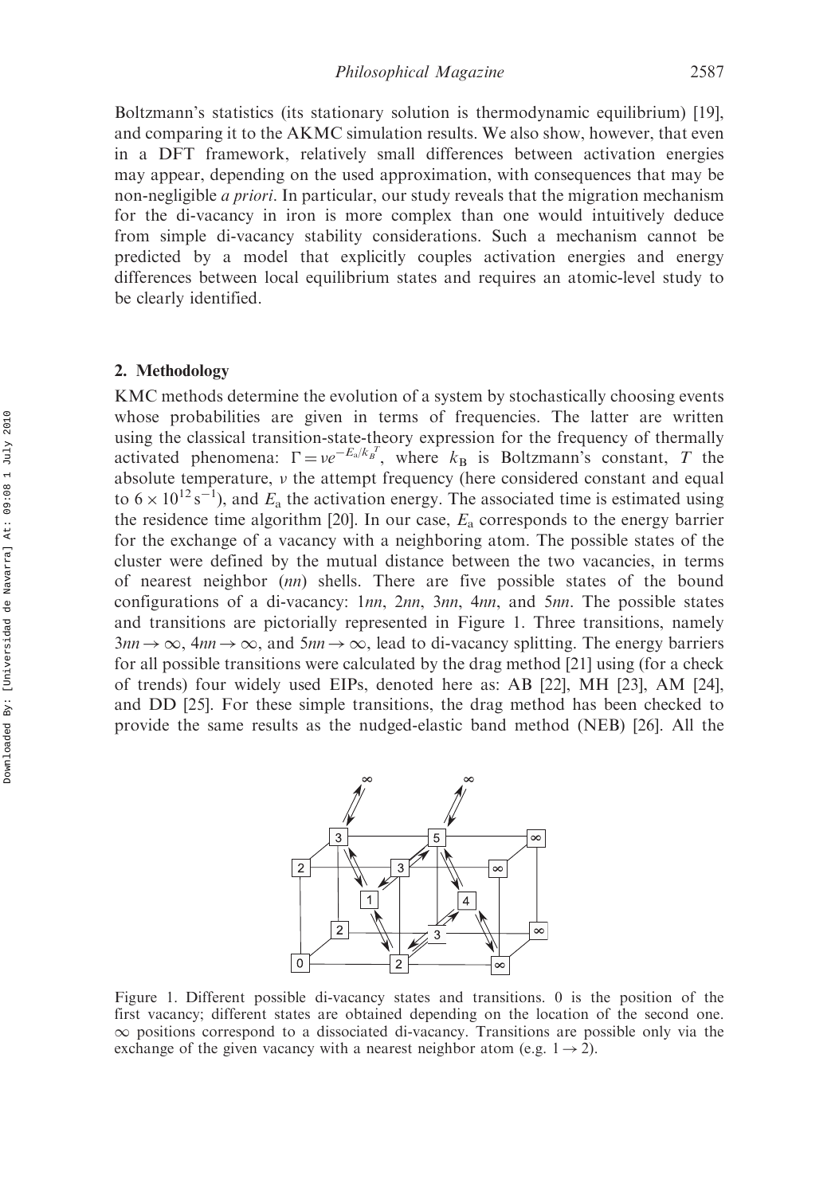Boltzmann's statistics (its stationary solution is thermodynamic equilibrium) [19], and comparing it to the AKMC simulation results. We also show, however, that even in a DFT framework, relatively small differences between activation energies may appear, depending on the used approximation, with consequences that may be non-negligible a priori. In particular, our study reveals that the migration mechanism for the di-vacancy in iron is more complex than one would intuitively deduce from simple di-vacancy stability considerations. Such a mechanism cannot be predicted by a model that explicitly couples activation energies and energy differences between local equilibrium states and requires an atomic-level study to be clearly identified.

## 2. Methodology

KMC methods determine the evolution of a system by stochastically choosing events whose probabilities are given in terms of frequencies. The latter are written using the classical transition-state-theory expression for the frequency of thermally activated phenomena:  $\Gamma = v e^{-E_a/k_B^T}$ , where  $k_B$  is Boltzmann's constant, T the absolute temperature,  $\nu$  the attempt frequency (here considered constant and equal to  $6 \times 10^{12}$  s<sup>-1</sup>), and  $E_a$  the activation energy. The associated time is estimated using the residence time algorithm [20]. In our case,  $E_a$  corresponds to the energy barrier for the exchange of a vacancy with a neighboring atom. The possible states of the cluster were defined by the mutual distance between the two vacancies, in terms of nearest neighbor (nn) shells. There are five possible states of the bound configurations of a di-vacancy: 1nn, 2nn, 3nn, 4nn, and 5nn. The possible states and transitions are pictorially represented in Figure 1. Three transitions, namely  $3nn \rightarrow \infty$ ,  $4nn \rightarrow \infty$ , and  $5nn \rightarrow \infty$ , lead to di-vacancy splitting. The energy barriers for all possible transitions were calculated by the drag method [21] using (for a check of trends) four widely used EIPs, denoted here as: AB [22], MH [23], AM [24], and DD [25]. For these simple transitions, the drag method has been checked to provide the same results as the nudged-elastic band method (NEB) [26]. All the

 $\overline{3}$ 5  $\infty$  $\mathcal{P}$  $\infty$  $\overline{4}$  $\overline{1}$  $\overline{2}$  $\infty$ 3  $\overline{0}$  $\mathcal{P}$ 

Figure 1. Different possible di-vacancy states and transitions. 0 is the position of the first vacancy; different states are obtained depending on the location of the second one.  $\infty$  positions correspond to a dissociated di-vacancy. Transitions are possible only via the exchange of the given vacancy with a nearest neighbor atom (e.g.  $1 \rightarrow 2$ ).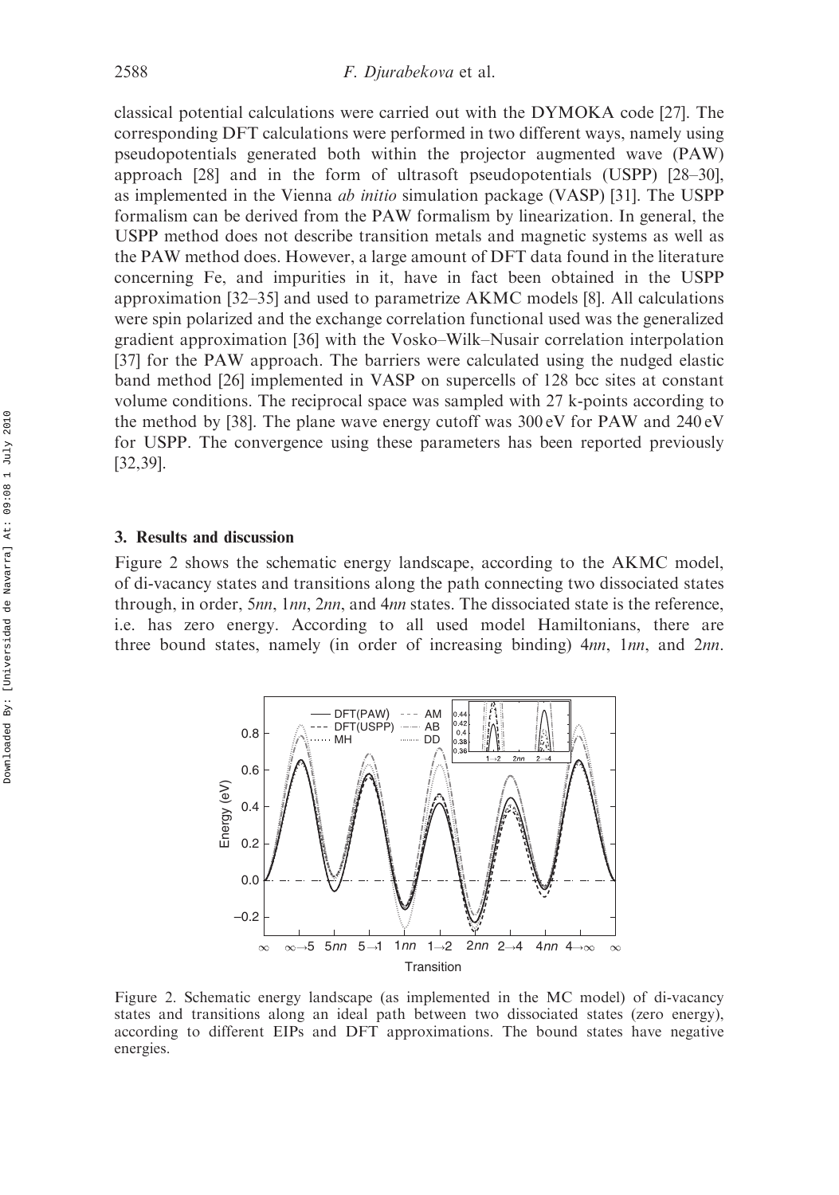classical potential calculations were carried out with the DYMOKA code [27]. The corresponding DFT calculations were performed in two different ways, namely using pseudopotentials generated both within the projector augmented wave (PAW) approach [28] and in the form of ultrasoft pseudopotentials (USPP) [28–30], as implemented in the Vienna ab initio simulation package (VASP) [31]. The USPP formalism can be derived from the PAW formalism by linearization. In general, the USPP method does not describe transition metals and magnetic systems as well as the PAW method does. However, a large amount of DFT data found in the literature concerning Fe, and impurities in it, have in fact been obtained in the USPP approximation [32–35] and used to parametrize AKMC models [8]. All calculations were spin polarized and the exchange correlation functional used was the generalized gradient approximation [36] with the Vosko–Wilk–Nusair correlation interpolation [37] for the PAW approach. The barriers were calculated using the nudged elastic band method [26] implemented in VASP on supercells of 128 bcc sites at constant volume conditions. The reciprocal space was sampled with 27 k-points according to the method by [38]. The plane wave energy cutoff was 300 eV for PAW and 240 eV for USPP. The convergence using these parameters has been reported previously [32,39].

#### 3. Results and discussion

Figure 2 shows the schematic energy landscape, according to the AKMC model, of di-vacancy states and transitions along the path connecting two dissociated states through, in order, 5nn, 1nn, 2nn, and 4nn states. The dissociated state is the reference, i.e. has zero energy. According to all used model Hamiltonians, there are three bound states, namely (in order of increasing binding) 4nn, 1nn, and 2nn.



Figure 2. Schematic energy landscape (as implemented in the MC model) of di-vacancy states and transitions along an ideal path between two dissociated states (zero energy), according to different EIPs and DFT approximations. The bound states have negative energies.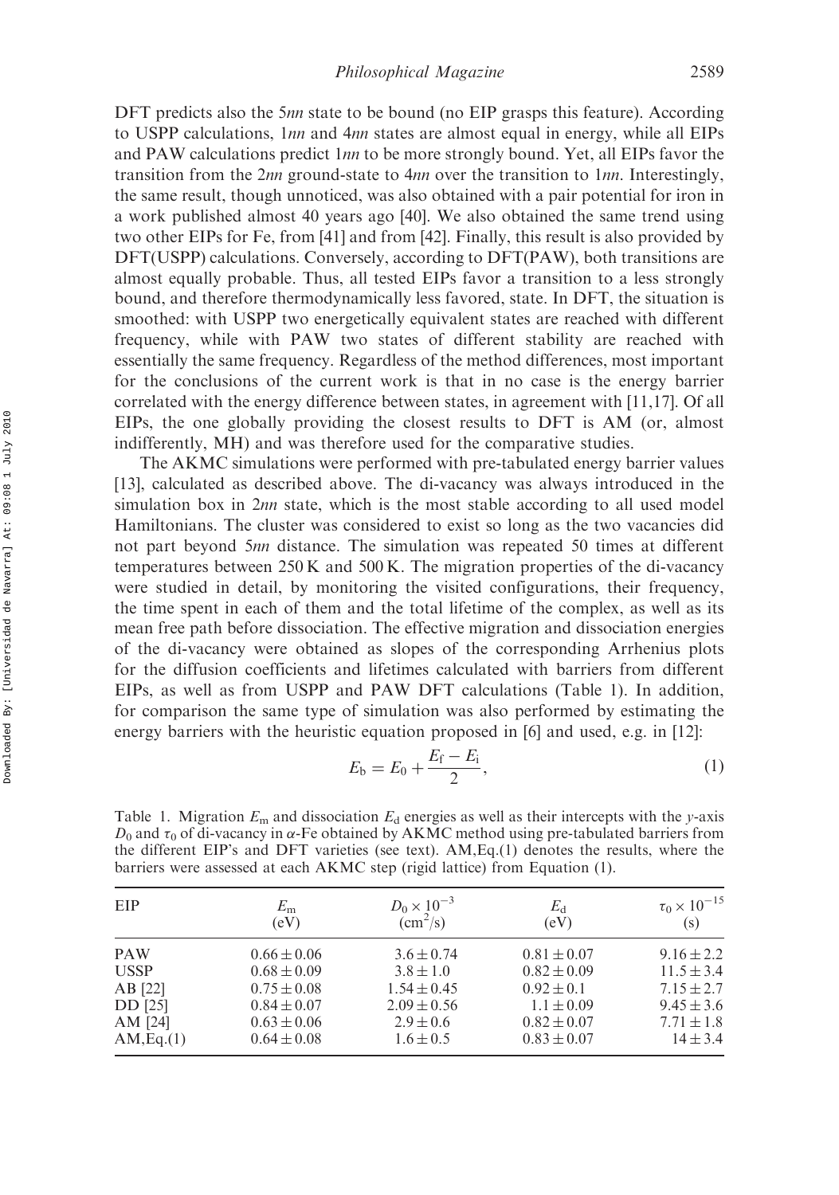DFT predicts also the 5nn state to be bound (no EIP grasps this feature). According to USPP calculations, 1nn and 4nn states are almost equal in energy, while all EIPs and PAW calculations predict 1nn to be more strongly bound. Yet, all EIPs favor the transition from the 2nn ground-state to  $4nn$  over the transition to  $1nn$ . Interestingly, the same result, though unnoticed, was also obtained with a pair potential for iron in a work published almost 40 years ago [40]. We also obtained the same trend using two other EIPs for Fe, from [41] and from [42]. Finally, this result is also provided by DFT(USPP) calculations. Conversely, according to DFT(PAW), both transitions are almost equally probable. Thus, all tested EIPs favor a transition to a less strongly bound, and therefore thermodynamically less favored, state. In DFT, the situation is smoothed: with USPP two energetically equivalent states are reached with different frequency, while with PAW two states of different stability are reached with essentially the same frequency. Regardless of the method differences, most important for the conclusions of the current work is that in no case is the energy barrier correlated with the energy difference between states, in agreement with [11,17]. Of all EIPs, the one globally providing the closest results to DFT is AM (or, almost indifferently, MH) and was therefore used for the comparative studies.

The AKMC simulations were performed with pre-tabulated energy barrier values [13], calculated as described above. The di-vacancy was always introduced in the simulation box in  $2nn$  state, which is the most stable according to all used model Hamiltonians. The cluster was considered to exist so long as the two vacancies did not part beyond 5nn distance. The simulation was repeated 50 times at different temperatures between 250 K and 500 K. The migration properties of the di-vacancy were studied in detail, by monitoring the visited configurations, their frequency, the time spent in each of them and the total lifetime of the complex, as well as its mean free path before dissociation. The effective migration and dissociation energies of the di-vacancy were obtained as slopes of the corresponding Arrhenius plots for the diffusion coefficients and lifetimes calculated with barriers from different EIPs, as well as from USPP and PAW DFT calculations (Table 1). In addition, for comparison the same type of simulation was also performed by estimating the energy barriers with the heuristic equation proposed in [6] and used, e.g. in [12]:

$$
E_{\rm b} = E_0 + \frac{E_{\rm f} - E_{\rm i}}{2},\tag{1}
$$

Table 1. Migration  $E_m$  and dissociation  $E_d$  energies as well as their intercepts with the y-axis  $D_0$  and  $\tau_0$  of di-vacancy in  $\alpha$ -Fe obtained by AKMC method using pre-tabulated barriers from the different EIP's and DFT varieties (see text). AM,Eq.(1) denotes the results, where the barriers were assessed at each AKMC step (rigid lattice) from Equation (1).

| EIP         | $E_{\rm m}$     | $D_0 \times 10^{-3}$        | $E_{d}$         | $\tau_0 \times 10^{-15}$ |
|-------------|-----------------|-----------------------------|-----------------|--------------------------|
|             | (eV)            | $\rm \left( cm^2/s \right)$ | (eV)            | (s)                      |
| <b>PAW</b>  | $0.66 \pm 0.06$ | $3.6 \pm 0.74$              | $0.81 \pm 0.07$ | $9.16 \pm 2.2$           |
| <b>USSP</b> | $0.68 \pm 0.09$ | $3.8 \pm 1.0$               | $0.82 \pm 0.09$ | $11.5 \pm 3.4$           |
| AB [22]     | $0.75 \pm 0.08$ | $1.54 \pm 0.45$             | $0.92 \pm 0.1$  | $7.15 \pm 2.7$           |
| DD [25]     | $0.84 \pm 0.07$ | $2.09 \pm 0.56$             | $1.1 \pm 0.09$  | $9.45 \pm 3.6$           |
| AM [24]     | $0.63 \pm 0.06$ | $2.9 \pm 0.6$               | $0.82 \pm 0.07$ | $7.71 \pm 1.8$           |
| AM, Eq.(1)  | $0.64 \pm 0.08$ | $1.6 \pm 0.5$               | $0.83 \pm 0.07$ | $14 \pm 3.4$             |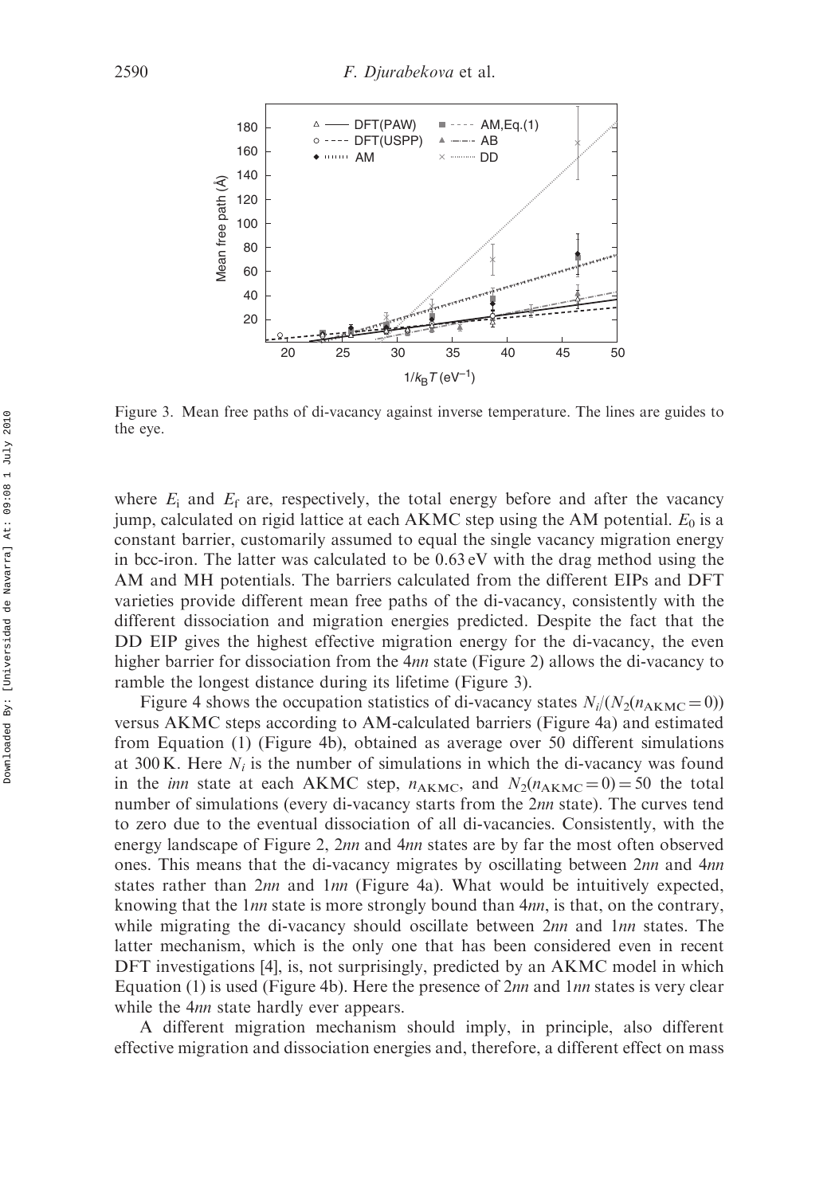

Figure 3. Mean free paths of di-vacancy against inverse temperature. The lines are guides to the eye.

where  $E_i$  and  $E_f$  are, respectively, the total energy before and after the vacancy jump, calculated on rigid lattice at each AKMC step using the AM potential.  $E_0$  is a constant barrier, customarily assumed to equal the single vacancy migration energy in bcc-iron. The latter was calculated to be  $0.63 \text{ eV}$  with the drag method using the AM and MH potentials. The barriers calculated from the different EIPs and DFT varieties provide different mean free paths of the di-vacancy, consistently with the different dissociation and migration energies predicted. Despite the fact that the DD EIP gives the highest effective migration energy for the di-vacancy, the even higher barrier for dissociation from the 4nn state (Figure 2) allows the di-vacancy to ramble the longest distance during its lifetime (Figure 3).

Figure 4 shows the occupation statistics of di-vacancy states  $N_i/(N_2(n_{AKMC} = 0))$ versus AKMC steps according to AM-calculated barriers (Figure 4a) and estimated from Equation (1) (Figure 4b), obtained as average over 50 different simulations at 300 K. Here  $N_i$  is the number of simulations in which the di-vacancy was found in the *inn* state at each AKMC step,  $n_{AKMC}$ , and  $N_2(n_{AKMC} = 0) = 50$  the total number of simulations (every di-vacancy starts from the 2nn state). The curves tend to zero due to the eventual dissociation of all di-vacancies. Consistently, with the energy landscape of Figure 2, 2nn and 4nn states are by far the most often observed ones. This means that the di-vacancy migrates by oscillating between 2nn and 4nn states rather than 2nn and 1nn (Figure 4a). What would be intuitively expected, knowing that the  $1nn$  state is more strongly bound than  $4nn$ , is that, on the contrary, while migrating the di-vacancy should oscillate between  $2nn$  and  $1nn$  states. The latter mechanism, which is the only one that has been considered even in recent DFT investigations [4], is, not surprisingly, predicted by an AKMC model in which Equation (1) is used (Figure 4b). Here the presence of  $2nn$  and  $1nn$  states is very clear while the 4*nn* state hardly ever appears.

A different migration mechanism should imply, in principle, also different effective migration and dissociation energies and, therefore, a different effect on mass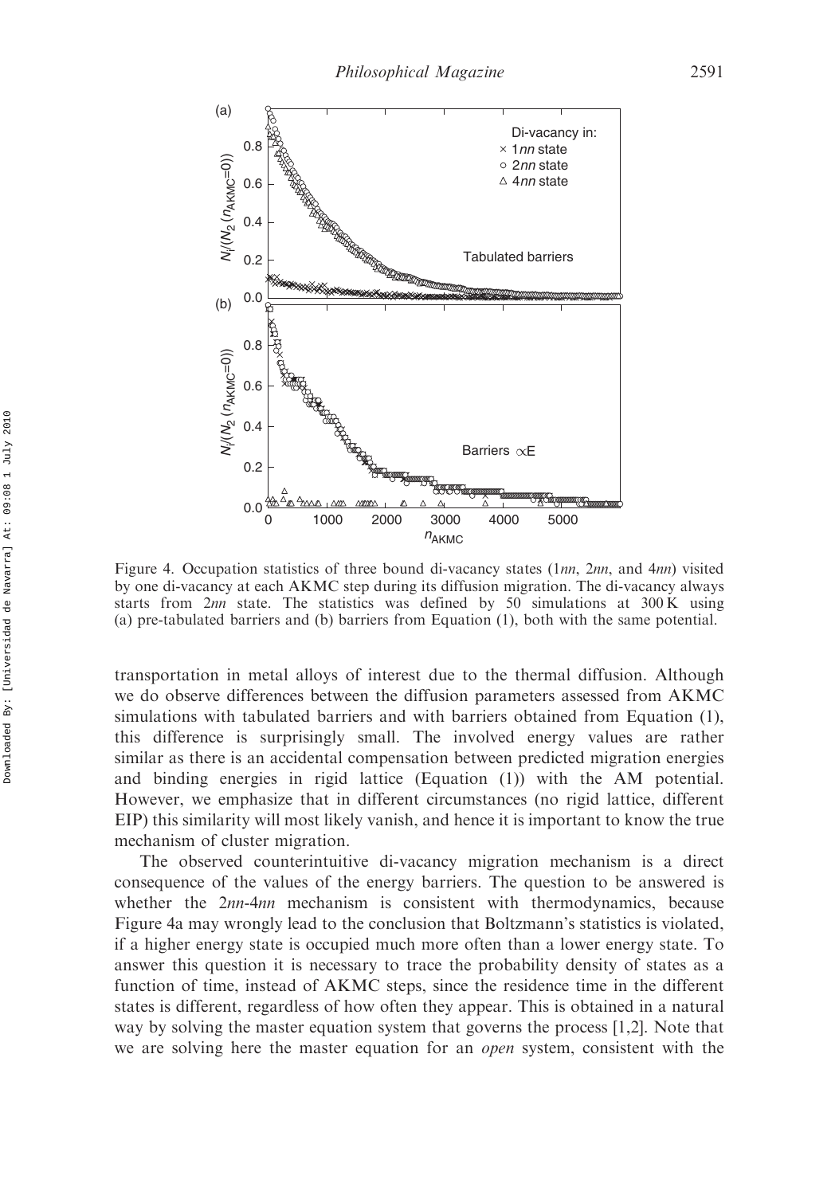

Figure 4. Occupation statistics of three bound di-vacancy states (1nn, 2nn, and 4nn) visited by one di-vacancy at each AKMC step during its diffusion migration. The di-vacancy always starts from  $2nn$  state. The statistics was defined by 50 simulations at 300 K using (a) pre-tabulated barriers and (b) barriers from Equation (1), both with the same potential.

transportation in metal alloys of interest due to the thermal diffusion. Although we do observe differences between the diffusion parameters assessed from AKMC simulations with tabulated barriers and with barriers obtained from Equation (1), this difference is surprisingly small. The involved energy values are rather similar as there is an accidental compensation between predicted migration energies and binding energies in rigid lattice (Equation (1)) with the AM potential. However, we emphasize that in different circumstances (no rigid lattice, different EIP) this similarity will most likely vanish, and hence it is important to know the true mechanism of cluster migration.

The observed counterintuitive di-vacancy migration mechanism is a direct consequence of the values of the energy barriers. The question to be answered is whether the  $2nn-4nn$  mechanism is consistent with thermodynamics, because Figure 4a may wrongly lead to the conclusion that Boltzmann's statistics is violated, if a higher energy state is occupied much more often than a lower energy state. To answer this question it is necessary to trace the probability density of states as a function of time, instead of AKMC steps, since the residence time in the different states is different, regardless of how often they appear. This is obtained in a natural way by solving the master equation system that governs the process [1,2]. Note that we are solving here the master equation for an *open* system, consistent with the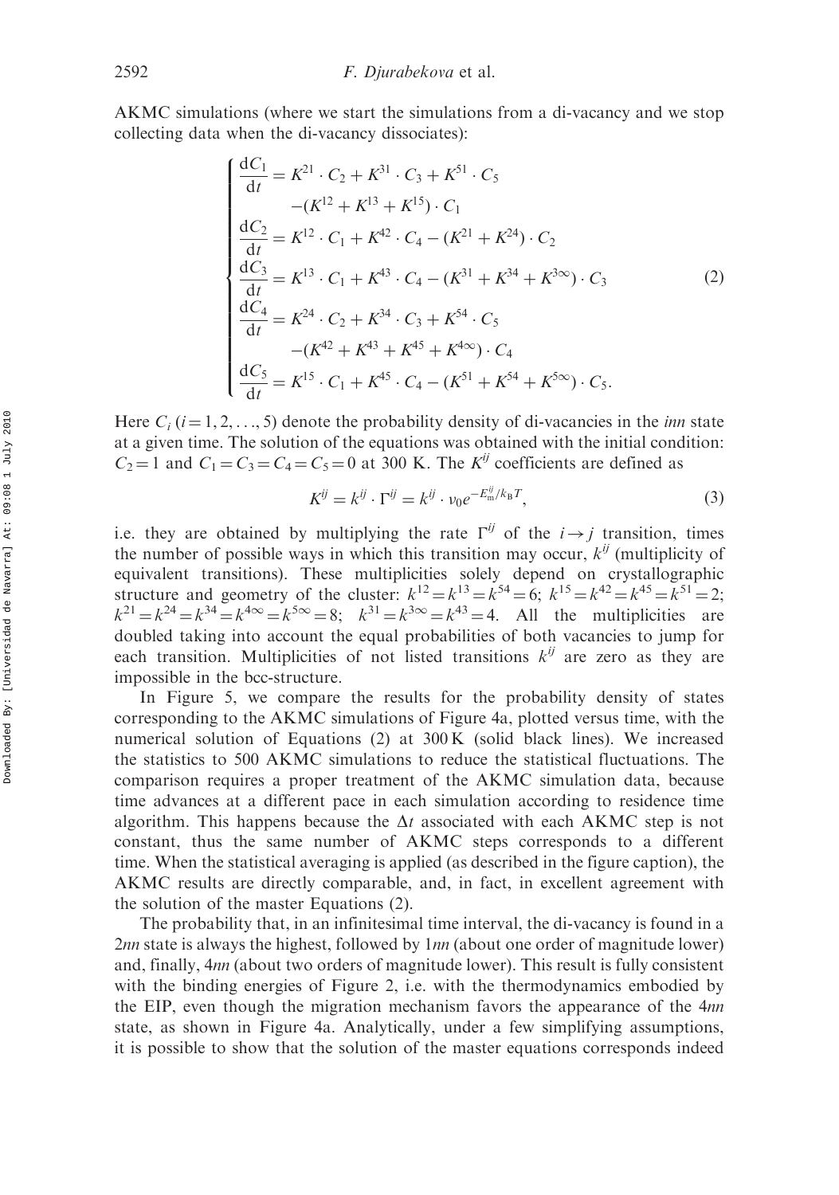AKMC simulations (where we start the simulations from a di-vacancy and we stop collecting data when the di-vacancy dissociates):

$$
\begin{cases}\n\frac{dC_1}{dt} = K^{21} \cdot C_2 + K^{31} \cdot C_3 + K^{51} \cdot C_5 \\
-(K^{12} + K^{13} + K^{15}) \cdot C_1 \\
\frac{dC_2}{dt} = K^{12} \cdot C_1 + K^{42} \cdot C_4 - (K^{21} + K^{24}) \cdot C_2 \\
\frac{dC_3}{dt} = K^{13} \cdot C_1 + K^{43} \cdot C_4 - (K^{31} + K^{34} + K^{3\infty}) \cdot C_3 \\
\frac{dC_4}{dt} = K^{24} \cdot C_2 + K^{34} \cdot C_3 + K^{54} \cdot C_5 \\
-(K^{42} + K^{43} + K^{45} + K^{4\infty}) \cdot C_4 \\
\frac{dC_5}{dt} = K^{15} \cdot C_1 + K^{45} \cdot C_4 - (K^{51} + K^{54} + K^{5\infty}) \cdot C_5.\n\end{cases}
$$
\n(2)

Here  $C_i$  (i = 1, 2, ..., 5) denote the probability density of di-vacancies in the *inn* state at a given time. The solution of the equations was obtained with the initial condition:  $C_2 = 1$  and  $C_1 = C_3 = C_4 = C_5 = 0$  at 300 K. The  $K^{ij}$  coefficients are defined as

$$
K^{ij} = k^{ij} \cdot \Gamma^{ij} = k^{ij} \cdot \nu_0 e^{-E_{\rm m}^{ij}/k_B T},\tag{3}
$$

i.e. they are obtained by multiplying the rate  $\Gamma^{ij}$  of the  $i \rightarrow j$  transition, times the number of possible ways in which this transition may occur,  $k^{ij}$  (multiplicity of equivalent transitions). These multiplicities solely depend on crystallographic structure and geometry of the cluster:  $k^{12} = k^{13} = k^{54} = 6$ ;  $k^{15} = k^{42} = k^{45} = k^{51} = 2$ ;  $k^{21} = k^{24} = k^{34} = k^{4\infty} = k^{5\infty} = 8$ ;  $k^{31} = k^{3\infty} = k^{43} = 4$ . All the multiplicities are doubled taking into account the equal probabilities of both vacancies to jump for each transition. Multiplicities of not listed transitions  $k^{ij}$  are zero as they are impossible in the bcc-structure.

In Figure 5, we compare the results for the probability density of states corresponding to the AKMC simulations of Figure 4a, plotted versus time, with the numerical solution of Equations (2) at 300 K (solid black lines). We increased the statistics to 500 AKMC simulations to reduce the statistical fluctuations. The comparison requires a proper treatment of the AKMC simulation data, because time advances at a different pace in each simulation according to residence time algorithm. This happens because the  $\Delta t$  associated with each AKMC step is not constant, thus the same number of AKMC steps corresponds to a different time. When the statistical averaging is applied (as described in the figure caption), the AKMC results are directly comparable, and, in fact, in excellent agreement with the solution of the master Equations (2).

The probability that, in an infinitesimal time interval, the di-vacancy is found in a 2nn state is always the highest, followed by  $1nn$  (about one order of magnitude lower) and, finally, 4nn (about two orders of magnitude lower). This result is fully consistent with the binding energies of Figure 2, i.e. with the thermodynamics embodied by the EIP, even though the migration mechanism favors the appearance of the 4nn state, as shown in Figure 4a. Analytically, under a few simplifying assumptions, it is possible to show that the solution of the master equations corresponds indeed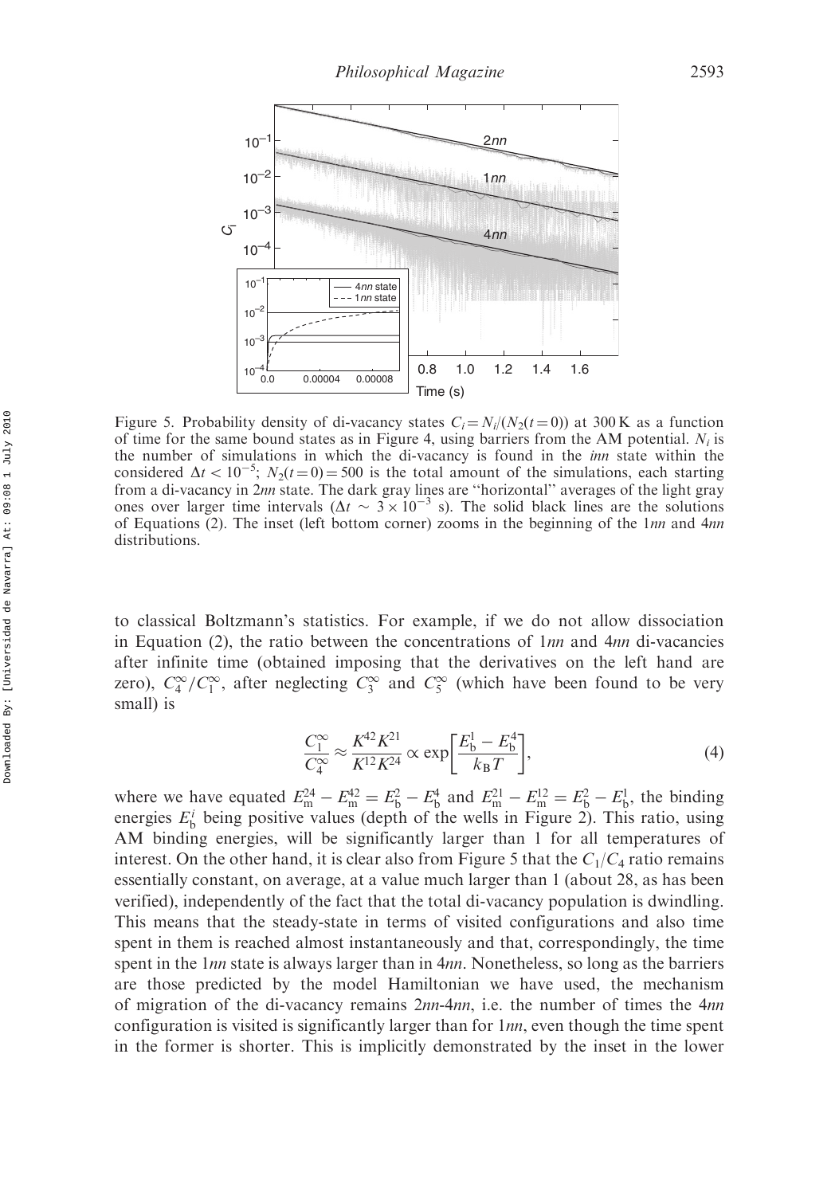

Figure 5. Probability density of di-vacancy states  $C_i = N_i/(N_2(t=0))$  at 300 K as a function of time for the same bound states as in Figure 4, using barriers from the AM potential.  $N_i$  is the number of simulations in which the di-vacancy is found in the *inn* state within the considered  $\Delta t < 10^{-5}$ ;  $N_2(t=0) = 500$  is the total amount of the simulations, each starting from a di-vacancy in 2nn state. The dark gray lines are ''horizontal'' averages of the light gray ones over larger time intervals ( $\Delta t \sim 3 \times 10^{-3}$  s). The solid black lines are the solutions of Equations (2). The inset (left bottom corner) zooms in the beginning of the 1nn and 4nn distributions.

to classical Boltzmann's statistics. For example, if we do not allow dissociation in Equation (2), the ratio between the concentrations of  $1nn$  and  $4nn$  di-vacancies after infinite time (obtained imposing that the derivatives on the left hand are zero),  $C_4^{\infty}/C_1^{\infty}$ , after neglecting  $C_3^{\infty}$  and  $C_5^{\infty}$  (which have been found to be very small) is

$$
\frac{C_1^{\infty}}{C_4^{\infty}} \approx \frac{K^{42} K^{21}}{K^{12} K^{24}} \propto \exp\left[\frac{E_b^1 - E_b^4}{k_B T}\right],\tag{4}
$$

where we have equated  $E_m^{24} - E_m^{42} = E_b^2 - E_b^4$  and  $E_m^{21} - E_m^{12} = E_b^2 - E_b^1$ , the binding energies  $E_b^i$  being positive values (depth of the wells in Figure 2). This ratio, using AM binding energies, will be significantly larger than 1 for all temperatures of interest. On the other hand, it is clear also from Figure 5 that the  $C_1/C_4$  ratio remains essentially constant, on average, at a value much larger than 1 (about 28, as has been verified), independently of the fact that the total di-vacancy population is dwindling. This means that the steady-state in terms of visited configurations and also time spent in them is reached almost instantaneously and that, correspondingly, the time spent in the 1nn state is always larger than in 4nn. Nonetheless, so long as the barriers are those predicted by the model Hamiltonian we have used, the mechanism of migration of the di-vacancy remains  $2nn-4nn$ , i.e. the number of times the  $4nn$ configuration is visited is significantly larger than for  $1nn$ , even though the time spent in the former is shorter. This is implicitly demonstrated by the inset in the lower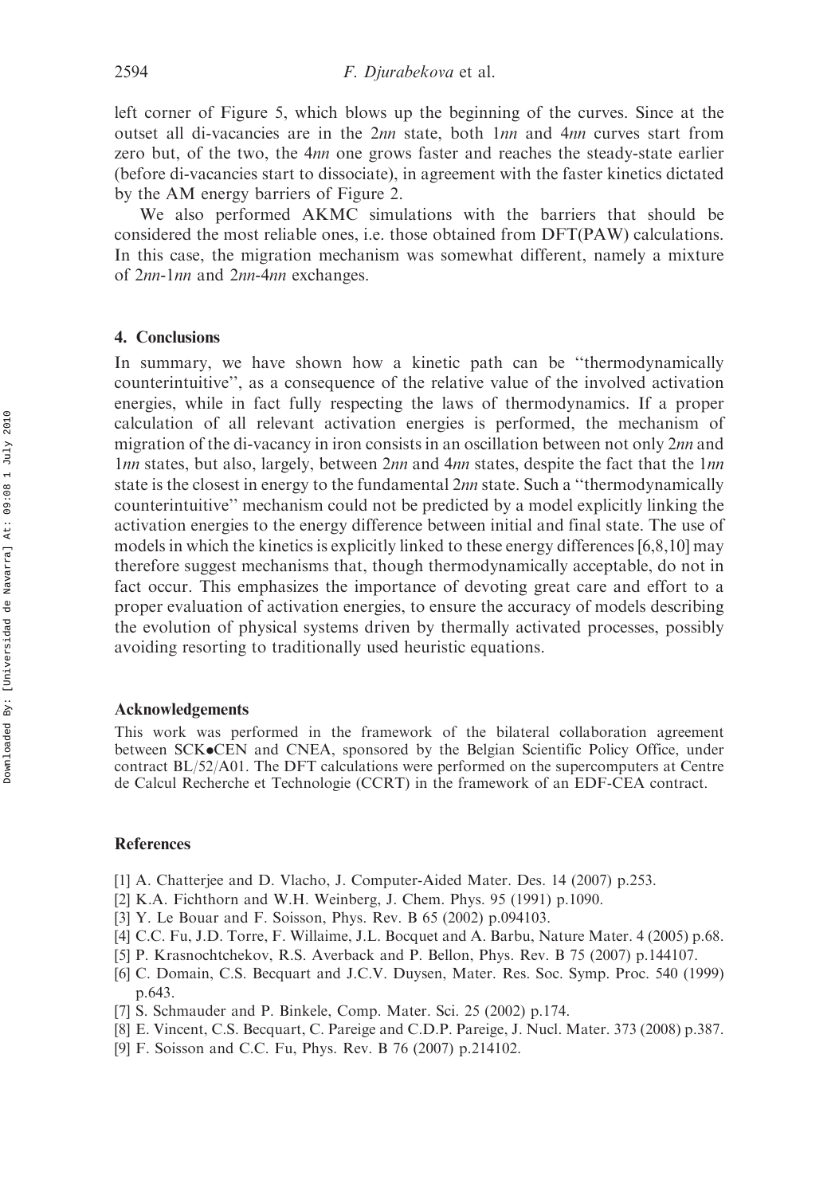left corner of Figure 5, which blows up the beginning of the curves. Since at the outset all di-vacancies are in the 2nn state, both 1nn and 4nn curves start from zero but, of the two, the 4nn one grows faster and reaches the steady-state earlier (before di-vacancies start to dissociate), in agreement with the faster kinetics dictated by the AM energy barriers of Figure 2.

We also performed AKMC simulations with the barriers that should be considered the most reliable ones, i.e. those obtained from DFT(PAW) calculations. In this case, the migration mechanism was somewhat different, namely a mixture of 2nn-1nn and 2nn-4nn exchanges.

#### 4. Conclusions

In summary, we have shown how a kinetic path can be ''thermodynamically counterintuitive'', as a consequence of the relative value of the involved activation energies, while in fact fully respecting the laws of thermodynamics. If a proper calculation of all relevant activation energies is performed, the mechanism of migration of the di-vacancy in iron consists in an oscillation between not only 2nn and  $1nn$  states, but also, largely, between  $2nn$  and  $4nn$  states, despite the fact that the  $1nn$ state is the closest in energy to the fundamental 2nn state. Such a "thermodynamically counterintuitive'' mechanism could not be predicted by a model explicitly linking the activation energies to the energy difference between initial and final state. The use of models in which the kinetics is explicitly linked to these energy differences [6,8,10] may therefore suggest mechanisms that, though thermodynamically acceptable, do not in fact occur. This emphasizes the importance of devoting great care and effort to a proper evaluation of activation energies, to ensure the accuracy of models describing the evolution of physical systems driven by thermally activated processes, possibly avoiding resorting to traditionally used heuristic equations.

#### Acknowledgements

This work was performed in the framework of the bilateral collaboration agreement between SCK.CEN and CNEA, sponsored by the Belgian Scientific Policy Office, under contract BL/52/A01. The DFT calculations were performed on the supercomputers at Centre de Calcul Recherche et Technologie (CCRT) in the framework of an EDF-CEA contract.

### References

- [1] A. Chatterjee and D. Vlacho, J. Computer-Aided Mater. Des. 14 (2007) p.253.
- [2] K.A. Fichthorn and W.H. Weinberg, J. Chem. Phys. 95 (1991) p.1090.
- [3] Y. Le Bouar and F. Soisson, Phys. Rev. B 65 (2002) p.094103.
- [4] C.C. Fu, J.D. Torre, F. Willaime, J.L. Bocquet and A. Barbu, Nature Mater. 4 (2005) p.68.
- [5] P. Krasnochtchekov, R.S. Averback and P. Bellon, Phys. Rev. B 75 (2007) p.144107.
- [6] C. Domain, C.S. Becquart and J.C.V. Duysen, Mater. Res. Soc. Symp. Proc. 540 (1999) p.643.
- [7] S. Schmauder and P. Binkele, Comp. Mater. Sci. 25 (2002) p.174.
- [8] E. Vincent, C.S. Becquart, C. Pareige and C.D.P. Pareige, J. Nucl. Mater. 373 (2008) p.387.
- [9] F. Soisson and C.C. Fu, Phys. Rev. B 76 (2007) p.214102.